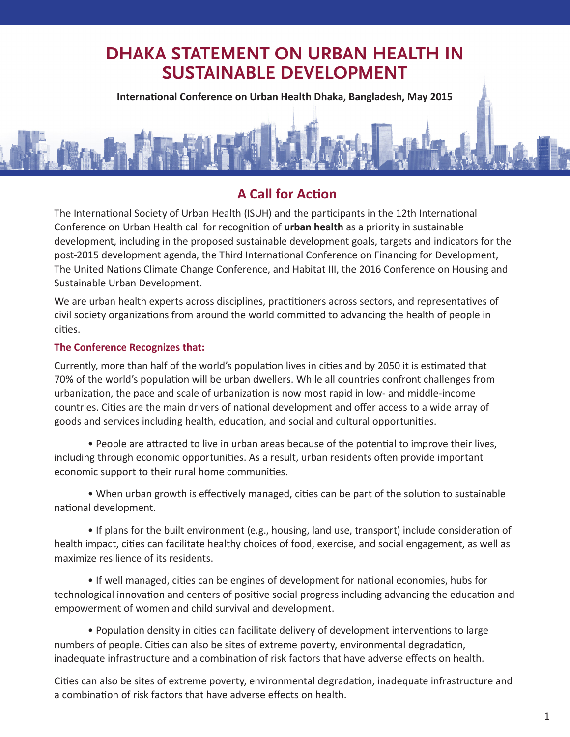## **DHAKA STATEMENT ON URBAN HEALTH IN SUSTAINABLE DEVELOPMENT**

**International Conference on Urban Health Dhaka, Bangladesh, May 2015**

## **A Call for Action**

The International Society of Urban Health (ISUH) and the participants in the 12th International Conference on Urban Health call for recognition of **urban health** as a priority in sustainable development, including in the proposed sustainable development goals, targets and indicators for the post-2015 development agenda, the Third International Conference on Financing for Development, The United Nations Climate Change Conference, and Habitat III, the 2016 Conference on Housing and Sustainable Urban Development.

We are urban health experts across disciplines, practitioners across sectors, and representatives of civil society organizations from around the world committed to advancing the health of people in cities.

## **The Conference Recognizes that:**

Currently, more than half of the world's population lives in cities and by 2050 it is estimated that 70% of the world's population will be urban dwellers. While all countries confront challenges from urbanization, the pace and scale of urbanization is now most rapid in low- and middle-income countries. Cities are the main drivers of national development and offer access to a wide array of goods and services including health, education, and social and cultural opportunities.

• People are attracted to live in urban areas because of the potential to improve their lives, including through economic opportunities. As a result, urban residents often provide important economic support to their rural home communities.

• When urban growth is effectively managed, cities can be part of the solution to sustainable national development.

• If plans for the built environment (e.g., housing, land use, transport) include consideration of health impact, cities can facilitate healthy choices of food, exercise, and social engagement, as well as maximize resilience of its residents.

• If well managed, cities can be engines of development for national economies, hubs for technological innovation and centers of positive social progress including advancing the education and empowerment of women and child survival and development.

• Population density in cities can facilitate delivery of development interventions to large numbers of people. Cities can also be sites of extreme poverty, environmental degradation, inadequate infrastructure and a combination of risk factors that have adverse effects on health.

Cities can also be sites of extreme poverty, environmental degradation, inadequate infrastructure and a combination of risk factors that have adverse effects on health.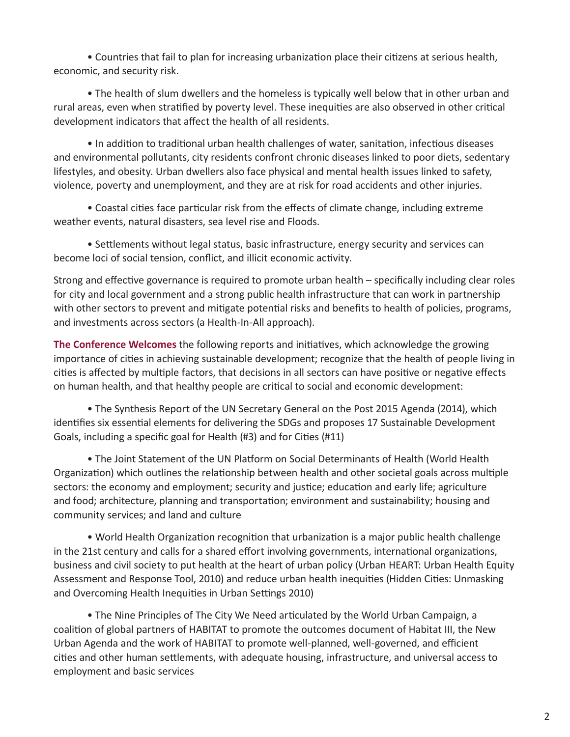• Countries that fail to plan for increasing urbanization place their citizens at serious health, economic, and security risk.

• The health of slum dwellers and the homeless is typically well below that in other urban and rural areas, even when stratified by poverty level. These inequities are also observed in other critical development indicators that affect the health of all residents.

• In addition to traditional urban health challenges of water, sanitation, infectious diseases and environmental pollutants, city residents confront chronic diseases linked to poor diets, sedentary lifestyles, and obesity. Urban dwellers also face physical and mental health issues linked to safety, violence, poverty and unemployment, and they are at risk for road accidents and other injuries.

• Coastal cities face particular risk from the effects of climate change, including extreme weather events, natural disasters, sea level rise and Floods.

• Settlements without legal status, basic infrastructure, energy security and services can become loci of social tension, conflict, and illicit economic activity.

Strong and effective governance is required to promote urban health – specifically including clear roles for city and local government and a strong public health infrastructure that can work in partnership with other sectors to prevent and mitigate potential risks and benefits to health of policies, programs, and investments across sectors (a Health-In-All approach).

**The Conference Welcomes** the following reports and initiatives, which acknowledge the growing importance of cities in achieving sustainable development; recognize that the health of people living in cities is affected by multiple factors, that decisions in all sectors can have positive or negative effects on human health, and that healthy people are critical to social and economic development:

• The Synthesis Report of the UN Secretary General on the Post 2015 Agenda (2014), which identifies six essential elements for delivering the SDGs and proposes 17 Sustainable Development Goals, including a specific goal for Health (#3) and for Cities (#11)

• The Joint Statement of the UN Platform on Social Determinants of Health (World Health Organization) which outlines the relationship between health and other societal goals across multiple sectors: the economy and employment; security and justice; education and early life; agriculture and food; architecture, planning and transportation; environment and sustainability; housing and community services; and land and culture

• World Health Organization recognition that urbanization is a major public health challenge in the 21st century and calls for a shared effort involving governments, international organizations, business and civil society to put health at the heart of urban policy (Urban HEART: Urban Health Equity Assessment and Response Tool, 2010) and reduce urban health inequities (Hidden Cities: Unmasking and Overcoming Health Inequities in Urban Settings 2010)

• The Nine Principles of The City We Need articulated by the World Urban Campaign, a coalition of global partners of HABITAT to promote the outcomes document of Habitat III, the New Urban Agenda and the work of HABITAT to promote well-planned, well-governed, and efficient cities and other human settlements, with adequate housing, infrastructure, and universal access to employment and basic services